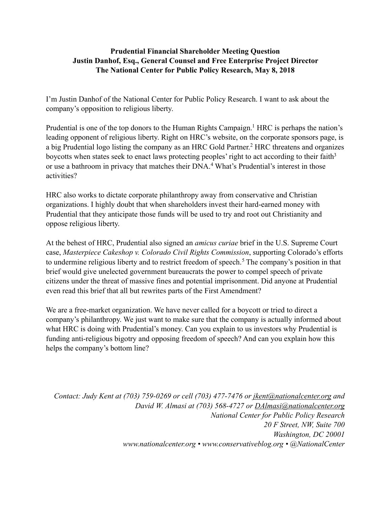## <span id="page-0-2"></span><span id="page-0-1"></span><span id="page-0-0"></span>**Prudential Financial Shareholder Meeting Question Justin Danhof, Esq., General Counsel and Free Enterprise Project Director The National Center for Public Policy Research, May 8, 2018**

I'm Justin Danhof of the National Center for Public Policy Research. I want to ask about the company's opposition to religious liberty.

Prudential is one of the top donors to the Human Rights Campaign[.](#page-1-0)<sup>[1](#page-1-0)</sup> HRC is perhaps the nation's leading opponent of religious liberty. Right on HRC's website, on the corporate sponsors page, is abig Prudential logo listing the company as an HRC Gold Partner.<sup>[2](#page-1-1)</sup> HRC threatens and organizes boycotts when states seek to enact laws protecting peoples' right to act according to their faith<sup>3</sup> oruse a bathroom in privacy that matches their DNA.<sup>[4](#page-1-3)</sup> What's Prudential's interest in those activities?

<span id="page-0-3"></span>HRC also works to dictate corporate philanthropy away from conservative and Christian organizations. I highly doubt that when shareholders invest their hard-earned money with Prudential that they anticipate those funds will be used to try and root out Christianity and oppose religious liberty.

<span id="page-0-4"></span>At the behest of HRC, Prudential also signed an *amicus curiae* brief in the U.S. Supreme Court case, *Masterpiece Cakeshop v. Colorado Civil Rights Commission*, supporting Colorado's efforts toundermine religious liberty and to restrict freedom of speech.<sup>[5](#page-1-4)</sup> The company's position in that brief would give unelected government bureaucrats the power to compel speech of private citizens under the threat of massive fines and potential imprisonment. Did anyone at Prudential even read this brief that all but rewrites parts of the First Amendment?

We are a free-market organization. We have never called for a boycott or tried to direct a company's philanthropy. We just want to make sure that the company is actually informed about what HRC is doing with Prudential's money. Can you explain to us investors why Prudential is funding anti-religious bigotry and opposing freedom of speech? And can you explain how this helps the company's bottom line?

*Contact: Judy Kent at (703) 759-0269 or cell (703) 477-7476 or <u><i>[jkent@nationalcenter.org](mailto:jkent@nationalcenter.org)*</u> and *David W. Almasi at (703) 568-4727 or [DAlmasi@nationalcenter.org](mailto:DAlmasi@nationalcenter.org) National Center for Public Policy Research 20 F Street, NW, Suite 700 Washington, DC 20001 www.nationalcenter.org • www.conservativeblog.org • @NationalCenter*